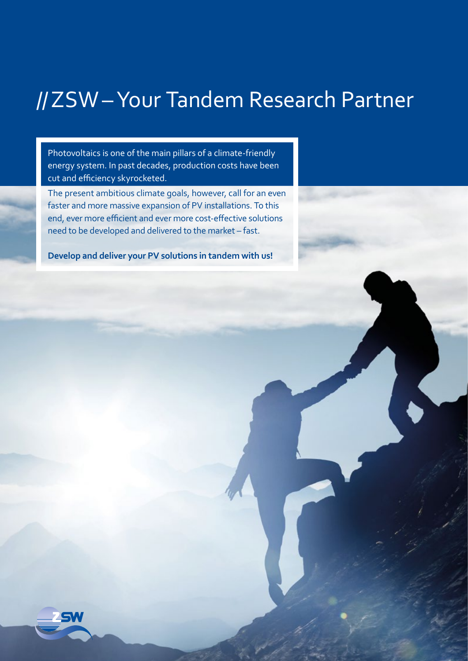## //ZSW–Your Tandem Research Partner

Photovoltaics is one of the main pillars of a climate-friendly energy system. In past decades, production costs have been cut and efficiency skyrocketed.

The present ambitious climate goals, however, call for an even faster and more massive expansion of PV installations. To this end, ever more efficient and ever more cost-effective solutions need to be developed and delivered to the market – fast.

**Develop and deliver your PV solutions in tandem with us!**

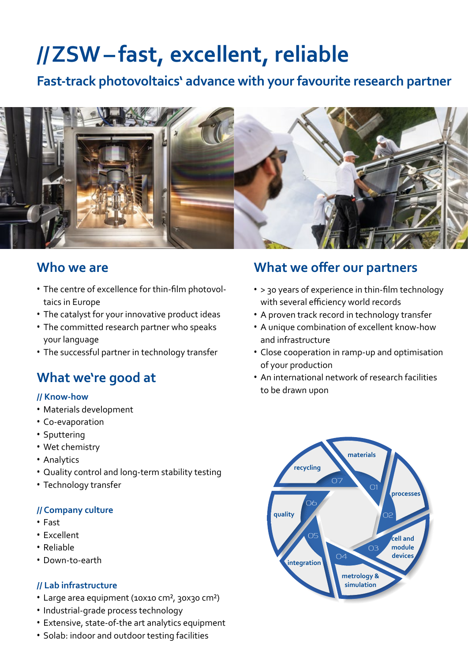# **//ZSW– fast, excellent, reliable**

**Fast-track photovoltaics' advance with your favourite research partner**



#### **Who we are**

- The centre of excellence for thin-film photovoltaics in Europe
- The catalyst for your innovative product ideas
- The committed research partner who speaks your language
- The successful partner in technology transfer

## **What we're good at**

#### **// Know-how**

- Materials development
- Co-evaporation
- Sputtering
- Wet chemistry
- Analytics
- Quality control and long-term stability testing
- Technology transfer

#### **// Company culture**

- Fast
- Excellent
- Reliable
- Down-to-earth

#### **// Lab infrastructure**

- Large area equipment (10x10 cm², 30x30 cm²)
- Industrial-grade process technology
- Extensive, state-of-the art analytics equipment
- Solab: indoor and outdoor testing facilities

### **What we offer our partners**

- > 30 years of experience in thin-film technology with several efficiency world records
- A proven track record in technology transfer
- A unique combination of excellent know-how and infrastructure
- Close cooperation in ramp-up and optimisation of your production
- An international network of research facilities to be drawn upon

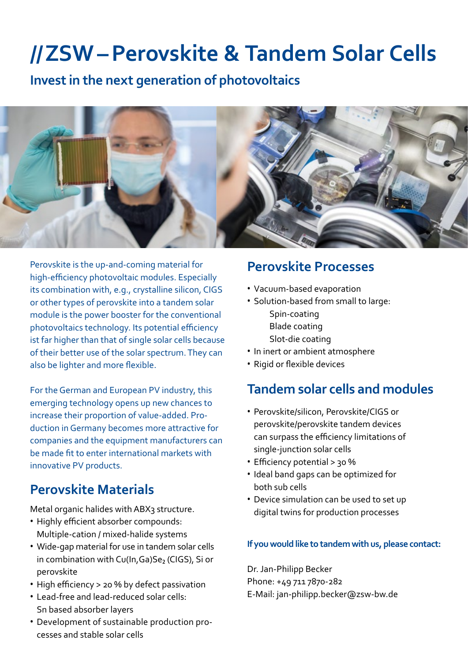## **//ZSW–Perovskite & Tandem Solar Cells**

**Invest in the next generation of photovoltaics**



Perovskite is the up-and-coming material for high-efficiency photovoltaic modules. Especially its combination with, e.g., crystalline silicon, CIGS or other types of perovskite into a tandem solar module is the power booster for the conventional photovoltaics technology. Its potential efficiency ist far higher than that of single solar cells because of their better use of the solar spectrum. They can also be lighter and more flexible.

For the German and European PV industry, this emerging technology opens up new chances to increase their proportion of value-added. Production in Germany becomes more attractive for companies and the equipment manufacturers can be made fit to enter international markets with innovative PV products.

## **Perovskite Materials**

Metal organic halides with ABX3 structure.

- Highly efficient absorber compounds: Multiple-cation / mixed-halide systems
- Wide-gap material for use in tandem solar cells in combination with  $Cu(ln, Ga)Se<sub>2</sub>$  (CIGS), Si or perovskite
- High efficiency > 20 % by defect passivation
- Lead-free and lead-reduced solar cells: Sn based absorber layers
- Development of sustainable production processes and stable solar cells

### **Perovskite Processes**

- Vacuum-based evaporation
- Solution-based from small to large: Spin-coating Blade coating Slot-die coating
- In inert or ambient atmosphere
- Rigid or flexible devices

### **Tandem solar cells and modules**

- Perovskite/silicon, Perovskite/CIGS or perovskite/perovskite tandem devices can surpass the efficiency limitations of single-junction solar cells
- Efficiency potential > 30 %
- Ideal band gaps can be optimized for both sub cells
- Device simulation can be used to set up digital twins for production processes

#### **If you would like to tandem with us, please contact:**

Dr. Jan-Philipp Becker Phone: +49 711 7870-282 E-Mail: jan-philipp.becker@zsw-bw.de